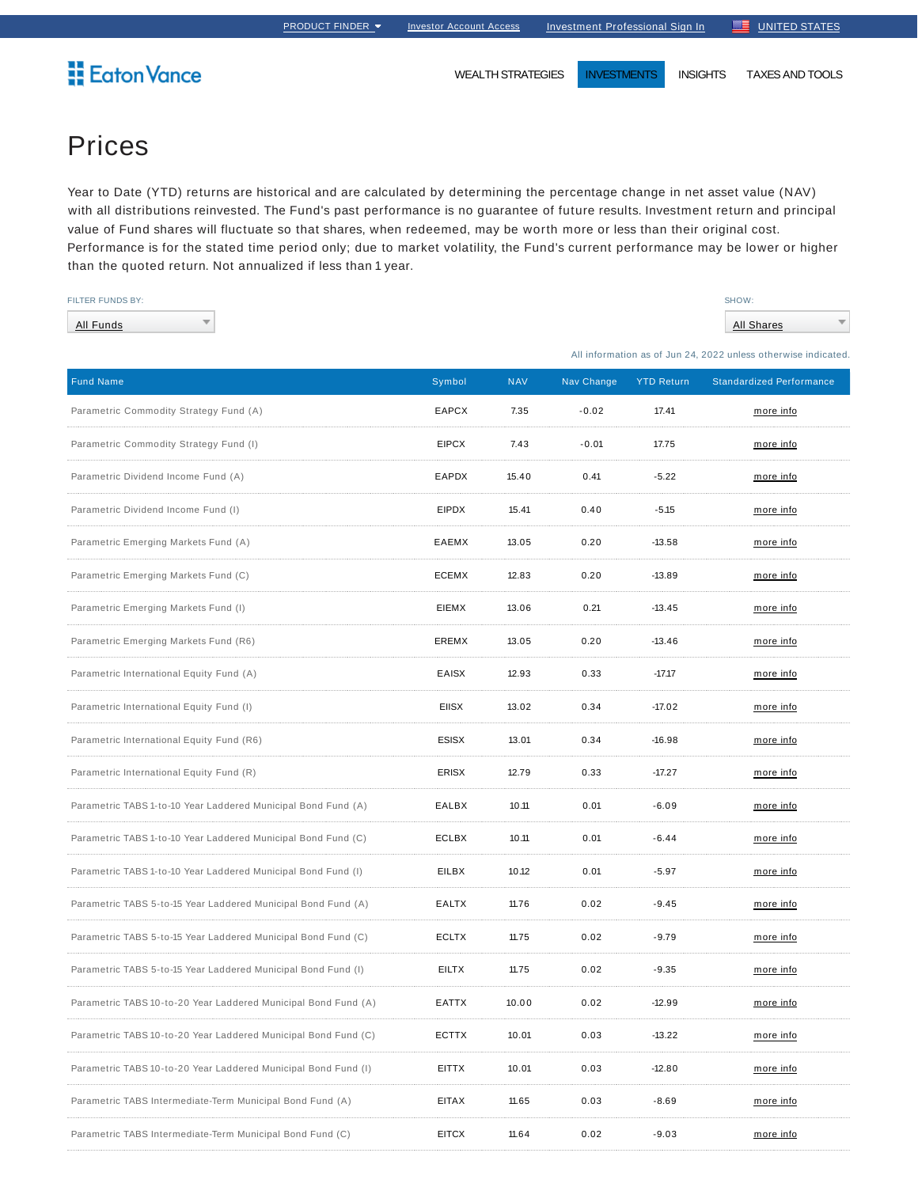## **Eaton Vance**

WEALTH STRATEGIES **INVESTMENTS** INSIGHTS TAXES AND TOOLS

## Prices

Year to Date (YTD) returns are historical and are calculated by determining the percentage change in net asset value (NAV) with all distributions reinvested. The Fund's past performance is no guarantee of future results. Investment return and principal value of Fund shares will fluctuate so that shares, when redeemed, may be worth more or less than their original cost. Performance is for the stated time period only; due to market volatility, the Fund's current performance may be lower or higher than the quoted return. Not annualized if less than 1 year.

| FILTER FUNDS BY:                                               |              |            |            |                   | SHOW:                                                         |
|----------------------------------------------------------------|--------------|------------|------------|-------------------|---------------------------------------------------------------|
| All Funds                                                      |              |            |            |                   | <b>All Shares</b>                                             |
|                                                                |              |            |            |                   | All information as of Jun 24, 2022 unless otherwise indicated |
| <b>Fund Name</b>                                               | Symbol       | <b>NAV</b> | Nav Change | <b>YTD Return</b> | <b>Standardized Performance</b>                               |
| Parametric Commodity Strategy Fund (A)                         | <b>EAPCX</b> | 7.35       | $-0.02$    | 17.41             | more info                                                     |
| Parametric Commodity Strategy Fund (I)                         | <b>EIPCX</b> | 7.43       | $-0.01$    | 17.75             | more info                                                     |
| Parametric Dividend Income Fund (A)                            | EAPDX        | 15.40      | 0.41       | $-5.22$           | more info                                                     |
| Parametric Dividend Income Fund (I)                            | <b>EIPDX</b> | 15.41      | 0.40       | $-5.15$           | more info                                                     |
| Parametric Emerging Markets Fund (A)                           | EAEMX        | 13.05      | 0.20       | $-13.58$          | more info                                                     |
| Parametric Emerging Markets Fund (C)                           | <b>ECEMX</b> | 12.83      | 0.20       | $-13.89$          | more info                                                     |
| Parametric Emerging Markets Fund (I)                           | EIEMX        | 13.06      | 0.21       | $-13.45$          | more info                                                     |
| Parametric Emerging Markets Fund (R6)                          | EREMX        | 13.05      | 0.20       | $-13.46$          | more info                                                     |
| Parametric International Equity Fund (A)                       | EAISX        | 12.93      | 0.33       | $-17.17$          | more info                                                     |
| Parametric International Equity Fund (I)                       | <b>EIISX</b> | 13.02      | 0.34       | $-17.02$          | more info                                                     |
| Parametric International Equity Fund (R6)                      | <b>ESISX</b> | 13.01      | 0.34       | $-16.98$          | more info                                                     |
| Parametric International Equity Fund (R)                       | <b>ERISX</b> | 12.79      | 0.33       | $-17.27$          | more info                                                     |
| Parametric TABS 1-to-10 Year Laddered Municipal Bond Fund (A)  | EALBX        | 10.11      | 0.01       | $-6.09$           | more info                                                     |
| Parametric TABS 1-to-10 Year Laddered Municipal Bond Fund (C)  | ECLBX        | 10.11      | 0.01       | $-6.44$           | more info                                                     |
| Parametric TABS 1-to-10 Year Laddered Municipal Bond Fund (I)  | <b>EILBX</b> | 10.12      | 0.01       | $-5.97$           | more info                                                     |
| Parametric TABS 5-to-15 Year Laddered Municipal Bond Fund (A)  | EALTX        | 11.76      | 0.02       | $-9.45$           | more info                                                     |
| Parametric TABS 5-to-15 Year Laddered Municipal Bond Fund (C)  | <b>ECLTX</b> | 11.75      | 0.02       | $-9.79$           | more info                                                     |
| Parametric TABS 5-to-15 Year Laddered Municipal Bond Fund (I)  | EILTX        | 11.75      | 0.02       | $-9.35$           | <u>more info</u>                                              |
| Parametric TABS 10-to-20 Year Laddered Municipal Bond Fund (A) | EATTX        | 10.00      | 0.02       | $-12.99$          | more info                                                     |
| Parametric TABS 10-to-20 Year Laddered Municipal Bond Fund (C) | ECTTX        | 10.01      | 0.03       | $-13.22$          | more info                                                     |
| Parametric TABS 10-to-20 Year Laddered Municipal Bond Fund (I) | <b>EITTX</b> | 10.01      | 0.03       | $-12.80$          | more info                                                     |
| Parametric TABS Intermediate-Term Municipal Bond Fund (A)      | <b>EITAX</b> | 11.65      | 0.03       | $-8.69$           | more info                                                     |
| Parametric TABS Intermediate-Term Municipal Bond Fund (C)      | <b>EITCX</b> | 11.64      | 0.02       | $-9.03$           | more info                                                     |
|                                                                |              |            |            |                   |                                                               |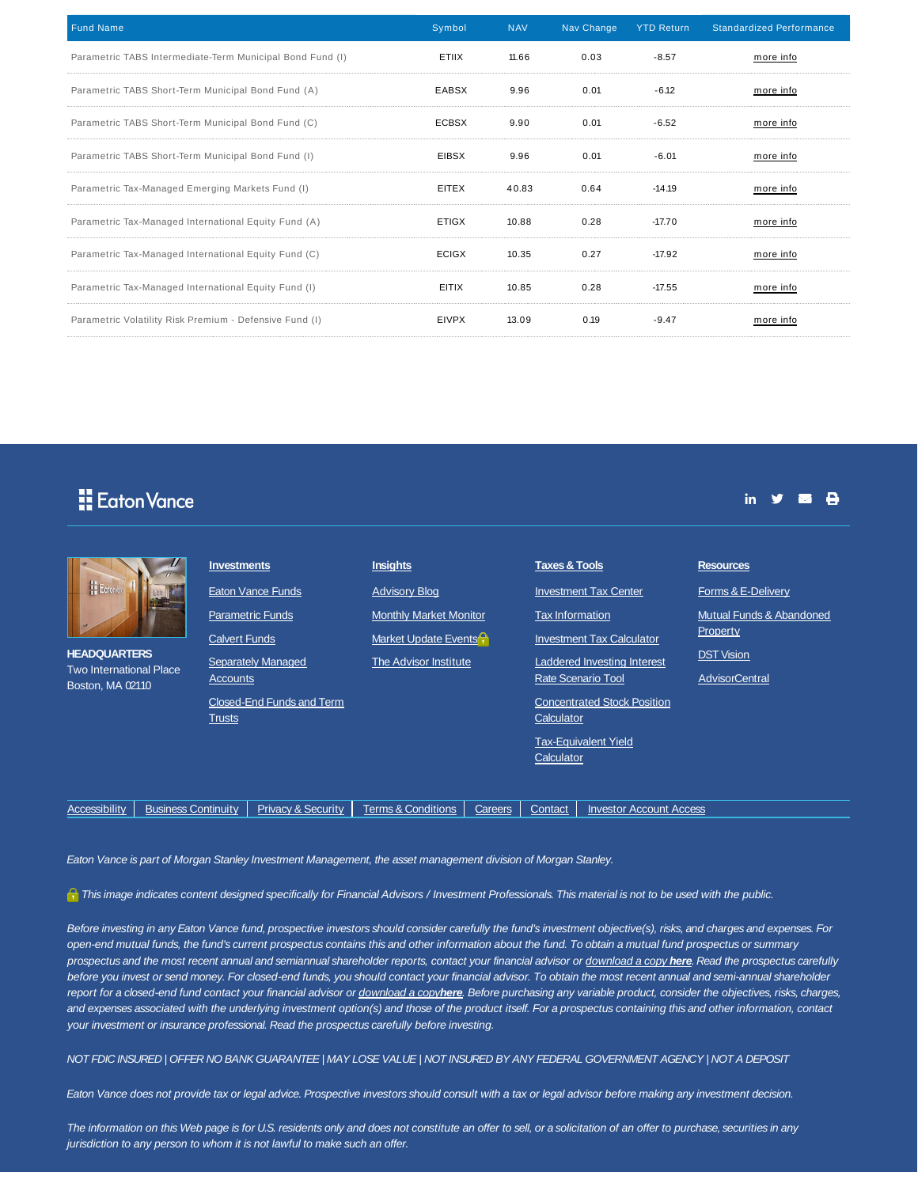| <b>Fund Name</b>                                          | Symbol       | <b>NAV</b> | Nav Change | <b>YTD Return</b> | <b>Standardized Performance</b> |
|-----------------------------------------------------------|--------------|------------|------------|-------------------|---------------------------------|
| Parametric TABS Intermediate-Term Municipal Bond Fund (I) | ETIIX        | 11.66      | 0.03       | $-8.57$           | more info                       |
| Parametric TABS Short-Term Municipal Bond Fund (A)        | EABSX        | 9.96       | 0.01       | $-6.12$           | more info                       |
| Parametric TABS Short-Term Municipal Bond Fund (C)        | ECBSX        | 9.90       | 0.01       | $-6.52$           | more info                       |
| Parametric TABS Short-Term Municipal Bond Fund (I)        | <b>EIBSX</b> | 9.96       | 0.01       | $-6.01$           | more info                       |
| Parametric Tax-Managed Emerging Markets Fund (I)          | <b>EITEX</b> | 40.83      | 0.64       | $-14.19$          | more info                       |
| Parametric Tax-Managed International Equity Fund (A)      | <b>ETIGX</b> | 10.88      | 0.28       | $-17.70$          | more info                       |
| Parametric Tax-Managed International Equity Fund (C)      | ECIGX        | 10.35      | 0.27       | $-17.92$          | more info                       |
| Parametric Tax-Managed International Equity Fund (I)      | <b>EITIX</b> | 10.85      | 0.28       | $-17.55$          | more info                       |
| Parametric Volatility Risk Premium - Defensive Fund (I)   | <b>EIVPX</b> | 13.09      | 0.19       | $-9.47$           | more info                       |

## **H** Eaton Vance

| E Eotonik<br><b>HEADQUARTERS</b><br><b>Two International Place</b> |                            | <b>Investments</b>                                          | <b>Eaton Vance Funds</b>      | <b>Insights</b><br><b>Advisory Blog</b>                                        |         | <b>Taxes &amp; Tools</b>                     | <b>Investment Tax Center</b>                                           | <b>Resources</b><br>Forms & E-Delivery                                             |
|--------------------------------------------------------------------|----------------------------|-------------------------------------------------------------|-------------------------------|--------------------------------------------------------------------------------|---------|----------------------------------------------|------------------------------------------------------------------------|------------------------------------------------------------------------------------|
|                                                                    |                            | <b>Parametric Funds</b><br><b>Calvert Funds</b><br>Accounts | <b>Separately Managed</b>     | <b>Monthly Market Monitor</b><br>Market Update Events<br>The Advisor Institute |         | <b>Tax Information</b><br>Rate Scenario Tool | <b>Investment Tax Calculator</b><br><b>Laddered Investing Interest</b> | Mutual Funds & Abandoned<br>Property<br><b>DST Vision</b><br><b>AdvisorCentral</b> |
| Boston, MA 02110                                                   |                            | <b>Trusts</b>                                               | Closed-End Funds and Term     |                                                                                |         | Calculator<br>Calculator                     | <b>Concentrated Stock Position</b><br><b>Tax-Equivalent Yield</b>      |                                                                                    |
| <b>Accessibility</b>                                               | <b>Business Continuity</b> |                                                             | <b>Privacy &amp; Security</b> | <b>Terms &amp; Conditions</b>                                                  | Careers | Contact                                      | <b>Investor Account Access</b>                                         |                                                                                    |

in  $y = \theta$ 

Eaton Vance is part of Morgan Stanley Investment Management, the asset management division of Morgan Stanley.

This image indicates content designed specifically for Financial Advisors / Investment Professionals. This material is not to be used with the public.

Before investing in any Eaton Vance fund, prospective investors should consider carefully the fund's investment objective(s), risks, and charges and expenses. For open-end mutual funds, the fund's current prospectus contains this and other information about the fund. To obtain a mutual fund prospectus or summary prospectus and the most recent annual and semiannual shareholder reports, contact your financial advisor or download a copy **here**. Read the prospectus carefully before you invest or send money. For closed-end funds, you should contact your financial advisor. To obtain the most recent annual and semi-annual shareholder report for a closed-end fund contact your financial advisor or download a copy**here**. Before purchasing any variable product, consider the objectives, risks, charges, and expenses associated with the underlying investment option(s) and those of the product itself. For a prospectus containing this and other information, contact your investment or insurance professional. Read the prospectus carefully before investing.

NOT FDIC INSURED | OFFER NO BANK GUARANTEE | MAY LOSE VALUE | NOT INSURED BY ANY FEDERAL GOVERNMENT AGENCY | NOT A DEPOSIT

Eaton Vance does not provide tax or legal advice. Prospective investors should consult with a tax or legal advisor before making any investment decision.

The information on this Web page is for U.S. residents only and does not constitute an offer to sell, or a solicitation of an offer to purchase, securities in any jurisdiction to any person to whom it is not lawful to make such an offer.